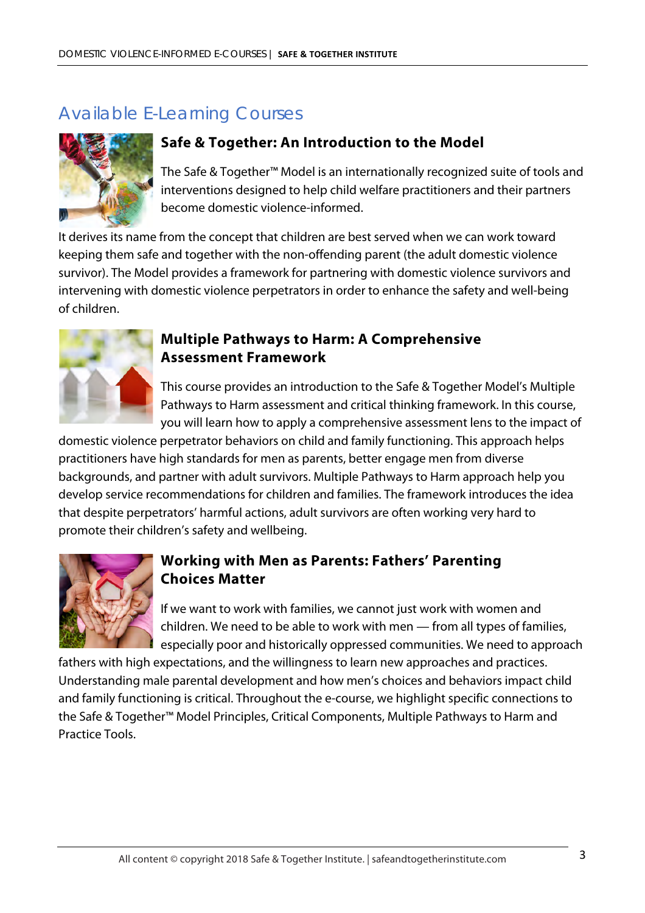# Available E-Learning Courses



#### **Safe & Together: An Introduction to the Model**

The Safe & Together™ Model is an internationally recognized suite of tools and interventions designed to help child welfare practitioners and their partners become domestic violence-informed.

It derives its name from the concept that children are best served when we can work toward keeping them safe and together with the non-offending parent (the adult domestic violence survivor). The Model provides a framework for partnering with domestic violence survivors and intervening with domestic violence perpetrators in order to enhance the safety and well-being of children.



#### **Multiple Pathways to Harm: A Comprehensive Assessment Framework**

This course provides an introduction to the Safe & Together Model's Multiple Pathways to Harm assessment and critical thinking framework. In this course, you will learn how to apply a comprehensive assessment lens to the impact of

domestic violence perpetrator behaviors on child and family functioning. This approach helps practitioners have high standards for men as parents, better engage men from diverse backgrounds, and partner with adult survivors. Multiple Pathways to Harm approach help you develop service recommendations for children and families. The framework introduces the idea that despite perpetrators' harmful actions, adult survivors are often working very hard to promote their children's safety and wellbeing.



### **Working with Men as Parents: Fathers' Parenting Choices Matter**

If we want to work with families, we cannot just work with women and children. We need to be able to work with men — from all types of families, especially poor and historically oppressed communities. We need to approach

fathers with high expectations, and the willingness to learn new approaches and practices. Understanding male parental development and how men's choices and behaviors impact child and family functioning is critical. Throughout the e-course, we highlight specific connections to the Safe & Together™ Model Principles, Critical Components, Multiple Pathways to Harm and Practice Tools.